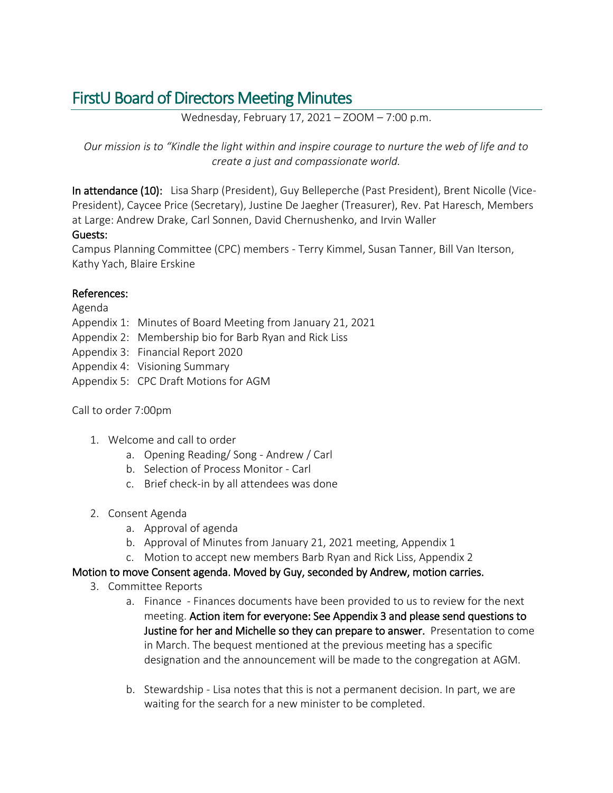# FirstU Board of Directors Meeting Minutes

Wednesday, February 17, 2021 – ZOOM – 7:00 p.m.

*Our mission is to "Kindle the light within and inspire courage to nurture the web of life and to create a just and compassionate world.*

In attendance (10): Lisa Sharp (President), Guy Belleperche (Past President), Brent Nicolle (Vice-President), Caycee Price (Secretary), Justine De Jaegher (Treasurer), Rev. Pat Haresch, Members at Large: Andrew Drake, Carl Sonnen, David Chernushenko, and Irvin Waller Guests:

Campus Planning Committee (CPC) members - Terry Kimmel, Susan Tanner, Bill Van Iterson, Kathy Yach, Blaire Erskine

## References:

### Agenda

- Appendix 1: Minutes of Board Meeting from January 21, 2021
- Appendix 2: Membership bio for Barb Ryan and Rick Liss
- Appendix 3: Financial Report 2020
- Appendix 4: Visioning Summary
- Appendix 5: CPC Draft Motions for AGM

### Call to order 7:00pm

- 1. Welcome and call to order
	- a. Opening Reading/ Song Andrew / Carl
	- b. Selection of Process Monitor Carl
	- c. Brief check-in by all attendees was done
- 2. Consent Agenda
	- a. Approval of agenda
	- b. Approval of Minutes from January 21, 2021 meeting, Appendix 1
	- c. Motion to accept new members Barb Ryan and Rick Liss, Appendix 2

### Motion to move Consent agenda. Moved by Guy, seconded by Andrew, motion carries.

- 3. Committee Reports
	- a. Finance Finances documents have been provided to us to review for the next meeting. Action item for everyone: See Appendix 3 and please send questions to Justine for her and Michelle so they can prepare to answer. Presentation to come in March. The bequest mentioned at the previous meeting has a specific designation and the announcement will be made to the congregation at AGM.
	- b. Stewardship Lisa notes that this is not a permanent decision. In part, we are waiting for the search for a new minister to be completed.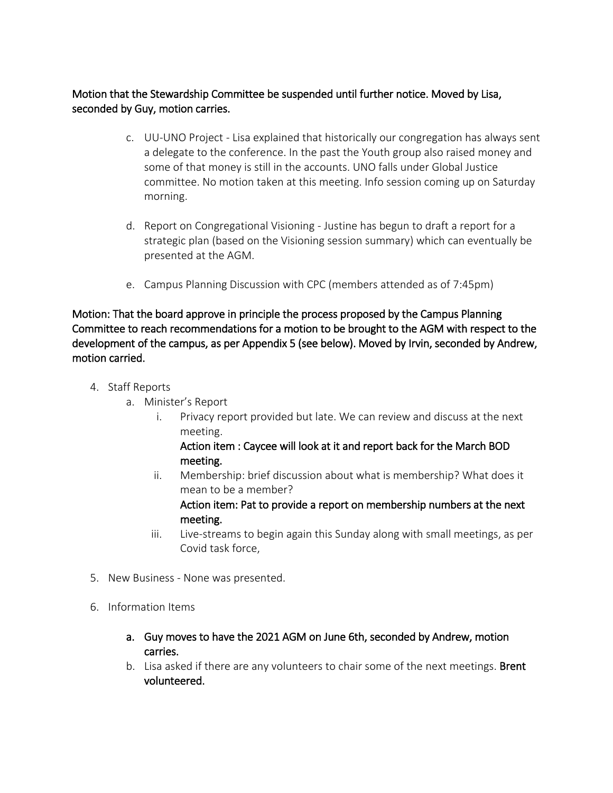## Motion that the Stewardship Committee be suspended until further notice. Moved by Lisa, seconded by Guy, motion carries.

- c. UU-UNO Project Lisa explained that historically our congregation has always sent a delegate to the conference. In the past the Youth group also raised money and some of that money is still in the accounts. UNO falls under Global Justice committee. No motion taken at this meeting. Info session coming up on Saturday morning.
- d. Report on Congregational Visioning Justine has begun to draft a report for a strategic plan (based on the Visioning session summary) which can eventually be presented at the AGM.
- e. Campus Planning Discussion with CPC (members attended as of 7:45pm)

Motion: That the board approve in principle the process proposed by the Campus Planning Committee to reach recommendations for a motion to be brought to the AGM with respect to the development of the campus, as per Appendix 5 (see below). Moved by Irvin, seconded by Andrew, motion carried.

- 4. Staff Reports
	- a. Minister's Report
		- i. Privacy report provided but late. We can review and discuss at the next meeting.

## Action item : Caycee will look at it and report back for the March BOD meeting.

ii. Membership: brief discussion about what is membership? What does it mean to be a member?

Action item: Pat to provide a report on membership numbers at the next meeting.

- iii. Live-streams to begin again this Sunday along with small meetings, as per Covid task force,
- 5. New Business None was presented.
- 6. Information Items
	- a. Guy moves to have the 2021 AGM on June 6th, seconded by Andrew, motion carries.
	- b. Lisa asked if there are any volunteers to chair some of the next meetings. Brent volunteered.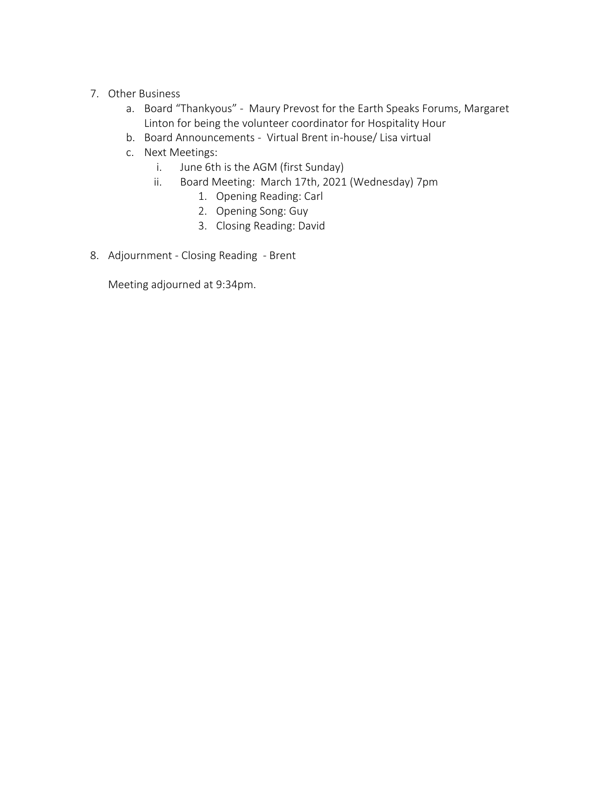- 7. Other Business
	- a. Board "Thankyous" Maury Prevost for the Earth Speaks Forums, Margaret Linton for being the volunteer coordinator for Hospitality Hour
	- b. Board Announcements Virtual Brent in-house/ Lisa virtual
	- c. Next Meetings:
		- i. June 6th is the AGM (first Sunday)
		- ii. Board Meeting: March 17th, 2021 (Wednesday) 7pm
			- 1. Opening Reading: Carl
			- 2. Opening Song: Guy
			- 3. Closing Reading: David
- 8. Adjournment Closing Reading Brent

Meeting adjourned at 9:34pm.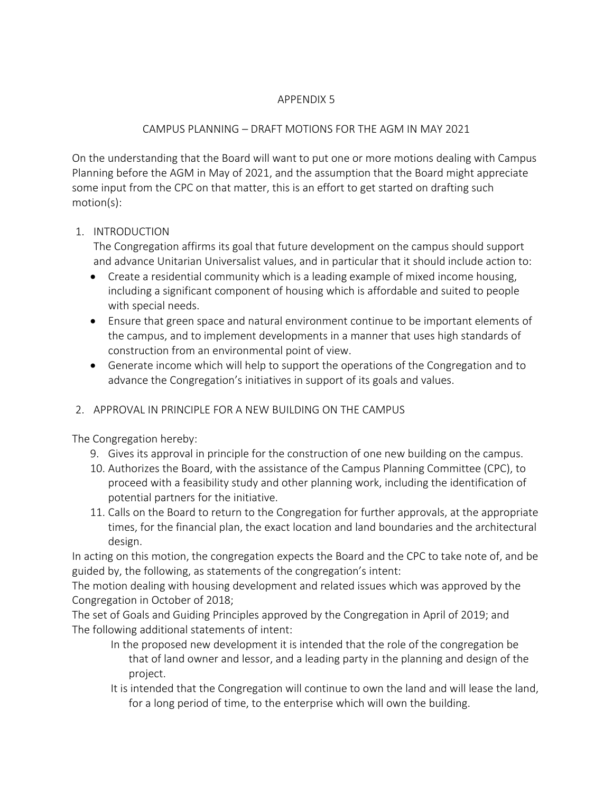### APPENDIX 5

## CAMPUS PLANNING – DRAFT MOTIONS FOR THE AGM IN MAY 2021

On the understanding that the Board will want to put one or more motions dealing with Campus Planning before the AGM in May of 2021, and the assumption that the Board might appreciate some input from the CPC on that matter, this is an effort to get started on drafting such motion(s):

# 1. INTRODUCTION

The Congregation affirms its goal that future development on the campus should support and advance Unitarian Universalist values, and in particular that it should include action to:

- Create a residential community which is a leading example of mixed income housing, including a significant component of housing which is affordable and suited to people with special needs.
- Ensure that green space and natural environment continue to be important elements of the campus, and to implement developments in a manner that uses high standards of construction from an environmental point of view.
- Generate income which will help to support the operations of the Congregation and to advance the Congregation's initiatives in support of its goals and values.

# 2. APPROVAL IN PRINCIPLE FOR A NEW BUILDING ON THE CAMPUS

The Congregation hereby:

- 9. Gives its approval in principle for the construction of one new building on the campus.
- 10. Authorizes the Board, with the assistance of the Campus Planning Committee (CPC), to proceed with a feasibility study and other planning work, including the identification of potential partners for the initiative.
- 11. Calls on the Board to return to the Congregation for further approvals, at the appropriate times, for the financial plan, the exact location and land boundaries and the architectural design.

In acting on this motion, the congregation expects the Board and the CPC to take note of, and be guided by, the following, as statements of the congregation's intent:

The motion dealing with housing development and related issues which was approved by the Congregation in October of 2018;

The set of Goals and Guiding Principles approved by the Congregation in April of 2019; and The following additional statements of intent:

- In the proposed new development it is intended that the role of the congregation be that of land owner and lessor, and a leading party in the planning and design of the project.
- It is intended that the Congregation will continue to own the land and will lease the land, for a long period of time, to the enterprise which will own the building.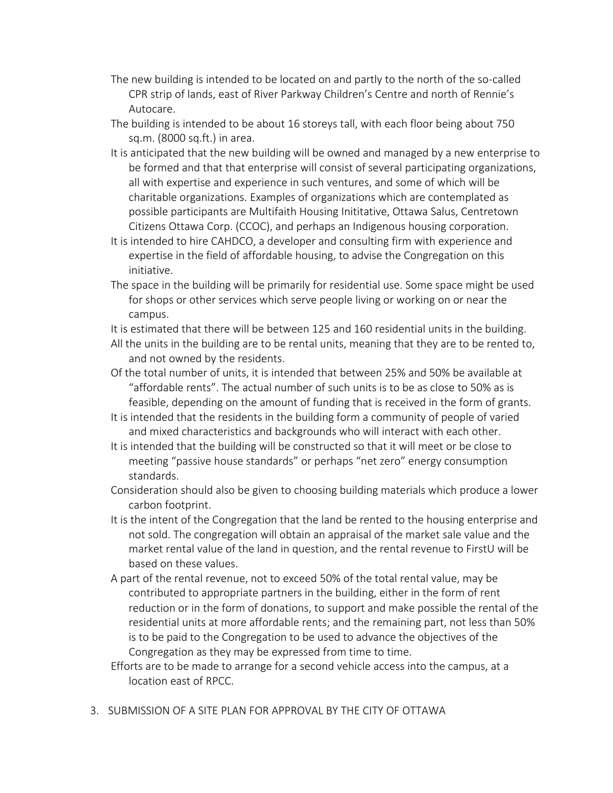- The new building is intended to be located on and partly to the north of the so-called CPR strip of lands, east of River Parkway Children's Centre and north of Rennie's Autocare.
- The building is intended to be about 16 storeys tall, with each floor being about 750 sq.m. (8000 sq.ft.) in area.
- It is anticipated that the new building will be owned and managed by a new enterprise to be formed and that that enterprise will consist of several participating organizations, all with expertise and experience in such ventures, and some of which will be charitable organizations. Examples of organizations which are contemplated as possible participants are Multifaith Housing Inititative, Ottawa Salus, Centretown Citizens Ottawa Corp. (CCOC), and perhaps an Indigenous housing corporation.
- It is intended to hire CAHDCO, a developer and consulting firm with experience and expertise in the field of affordable housing, to advise the Congregation on this initiative.
- The space in the building will be primarily for residential use. Some space might be used for shops or other services which serve people living or working on or near the campus.
- It is estimated that there will be between 125 and 160 residential units in the building.
- All the units in the building are to be rental units, meaning that they are to be rented to, and not owned by the residents.
- Of the total number of units, it is intended that between 25% and 50% be available at "affordable rents". The actual number of such units is to be as close to 50% as is feasible, depending on the amount of funding that is received in the form of grants.
- It is intended that the residents in the building form a community of people of varied and mixed characteristics and backgrounds who will interact with each other.
- It is intended that the building will be constructed so that it will meet or be close to meeting "passive house standards" or perhaps "net zero" energy consumption standards.
- Consideration should also be given to choosing building materials which produce a lower carbon footprint.
- It is the intent of the Congregation that the land be rented to the housing enterprise and not sold. The congregation will obtain an appraisal of the market sale value and the market rental value of the land in question, and the rental revenue to FirstU will be based on these values.
- A part of the rental revenue, not to exceed 50% of the total rental value, may be contributed to appropriate partners in the building, either in the form of rent reduction or in the form of donations, to support and make possible the rental of the residential units at more affordable rents; and the remaining part, not less than 50% is to be paid to the Congregation to be used to advance the objectives of the Congregation as they may be expressed from time to time.
- Efforts are to be made to arrange for a second vehicle access into the campus, at a location east of RPCC.
- 3. SUBMISSION OF A SITE PLAN FOR APPROVAL BY THE CITY OF OTTAWA